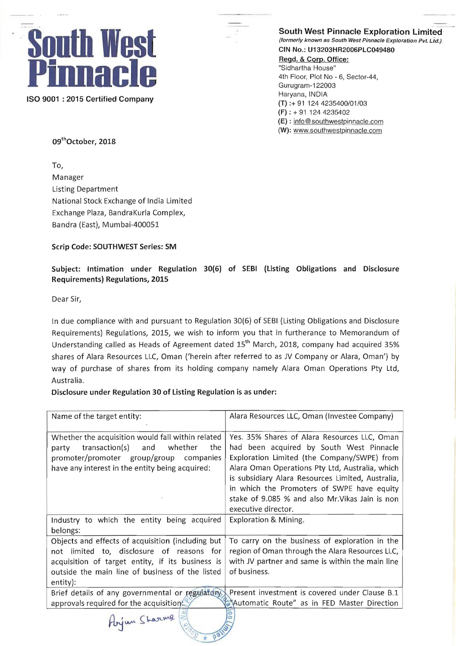

South West Pinnacle Exploration Limited<br>(formerly known as South West Pinnacle Exploration Pvt. Ltd.)

Regd. & Corp. Office: "Sidhartha House" 4th Floor, Plot No - 6, Sector-44, **ISO 9001 : 2015 Certified Company The Company Company Company 11 124 4235400/01/03**  $(F) : + 9111244235402$ (E) : info@southwestpinnacle.com (W): www.southwestpinnacle.com

09<sup>th</sup>October, 2018

To, Manager Listing Department National Stock Exchange of India Limited Exchange Plaza, BandraKurla Complex, Bandra (East), Mumbai-400051

Scrip Code: SOUTHWEST Series: SM

Subject: Intimation under Regulation 30(6) of SEBI (listing Obligations and Disclosure Requirements) Regulations, 2015

Dear Sir,

In due compliance with and pursuant to Regulation 30(6) of SEBI (Listing Obligations and Disclosure Requirements) Regulations, 2015, we wish to inform you that in furtherance to Memorandum of Understanding called as Heads of Agreement dated 15<sup>th</sup> March, 2018, company had acquired 35% shares of Alara Resources LLC, Oman ('herein after referred to as JV Company or Alara, Oman') by way of purchase of shares from its holding company namely Alara Oman Operations Pty Ltd, Australia.

Disclosure under Regulation 30 of listing Regulation is as under:

| Name of the target entity:                                                                                                                                                                          | Alara Resources LLC, Oman (Investee Company)                                                                                                                                                                                                                                                                                                                            |
|-----------------------------------------------------------------------------------------------------------------------------------------------------------------------------------------------------|-------------------------------------------------------------------------------------------------------------------------------------------------------------------------------------------------------------------------------------------------------------------------------------------------------------------------------------------------------------------------|
| Whether the acquisition would fall within related<br>transaction(s)<br>and<br>whether<br>the<br>party<br>promoter/promoter group/group companies<br>have any interest in the entity being acquired: | Yes. 35% Shares of Alara Resources LLC, Oman<br>had been acquired by South West Pinnacle<br>Exploration Limited (the Company/SWPE) from<br>Alara Oman Operations Pty Ltd, Australia, which<br>is subsidiary Alara Resources Limited, Australia,<br>in which the Promoters of SWPE have equity<br>stake of 9.085 % and also Mr. Vikas Jain is non<br>executive director. |
| Industry to which the entity being acquired                                                                                                                                                         | Exploration & Mining.                                                                                                                                                                                                                                                                                                                                                   |
| belongs:                                                                                                                                                                                            |                                                                                                                                                                                                                                                                                                                                                                         |
| Objects and effects of acquisition (including but                                                                                                                                                   | To carry on the business of exploration in the                                                                                                                                                                                                                                                                                                                          |
| limited to, disclosure of reasons for<br>not                                                                                                                                                        | region of Oman through the Alara Resources LLC,                                                                                                                                                                                                                                                                                                                         |
| acquisition of target entity, if its business is                                                                                                                                                    | with JV partner and same is within the main line                                                                                                                                                                                                                                                                                                                        |
| outside the main line of business of the listed                                                                                                                                                     | of business.                                                                                                                                                                                                                                                                                                                                                            |
| entity):                                                                                                                                                                                            |                                                                                                                                                                                                                                                                                                                                                                         |
| Brief details of any governmental or regulatory                                                                                                                                                     | Present investment is covered under Clause B.1                                                                                                                                                                                                                                                                                                                          |
| approvals required for the acquisition.                                                                                                                                                             | Automatic Route" as in FED Master Direction                                                                                                                                                                                                                                                                                                                             |
| Abyun Sharing<br>60 <sup>1</sup>                                                                                                                                                                    |                                                                                                                                                                                                                                                                                                                                                                         |

-'\*